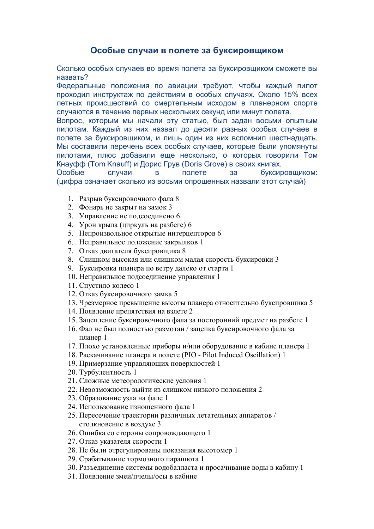## Особые случаи в полете за буксировщиком

Сколько особых случаев во время полета за буксировщиком сможете вы назвать?

Федеральные положения по авиации требуют, чтобы каждый пилот проходил инструктаж по действиям в особых случаях. Около 15% всех летных происшествий со смертельным исходом в планерном спорте случаются в течение первых нескольких секунд или минут полета.

Вопрос, которым мы начали эту статью, был задан восьми опытным пилотам. Каждый из них назвал до десяти разных особых случаев в полете за буксировщиком, и лишь один из них вспомнил шестнадцать. Мы составили перечень всех особых случаев, которые были упомянуты пилотами, плюс добавили еще несколько, о которых говорили Том Кнауфф (Tom Knauff) и Дорис Грув (Doris Grove) в своих книгах.

Особые случаи полете  $3a$ буксировщиком:  $\mathbf{B}$ (цифра означает сколько из восьми опрошенных назвали этот случай)

- 1. Разрыв буксировочного фала 8
- 2. Фонарь не закрыт на замок 3
- 3. Управление не подсоединено 6
- 4. Урон крыла (циркуль на разбеге) 6
- 5. Непроизвольное открытые интерцепторов 6
- 6. Неправильное положение закрылков 1
- 7. Отказ двигателя буксировщика 8
- 8. Слишком высокая или слишком малая скорость буксировки 3
- 9. Буксировка планера по ветру далеко от старта 1
- 10. Неправильное подсоединение управления 1
- 11. Спустило колесо 1
- 12. Отказ буксировочного замка 5
- 13. Чрезмерное превышение высоты планера относительно буксировщика 5
- 14. Появление препятствия на взлете 2
- 15. Зацепление буксировочного фала за посторонний предмет на разбеге 1
- 16. Фал не был полностью размотан / зацепка буксировочного фала за планер 1
- 17. Плохо установленные приборы и/или оборудование в кабине планера 1
- 18. Раскачивание планера в полете (PIO Pilot Induced Oscillation) 1
- 19. Примерзание управляющих поверхностей 1
- 20. Турбулентность 1
- 21. Сложные метеорологические условия 1
- 22. Невозможность выйти из слишком низкого положения 2
- 23. Образование узла на фале 1
- 24. Использование изношенного фала 1
- 25. Пересечение траектории различных летательных аппаратов / столкновение в воздухе 3
- 26. Ошибка со стороны сопровождающего 1
- 27. Отказ указателя скорости 1
- 28. Не были отрегулированы показания высотомер 1
- 29. Срабатывание тормозного парашюта 1
- 30. Разъединение системы водобалласта и просачивание воды в кабину 1
- 31 Появление змеи/пчелы/осы в кабине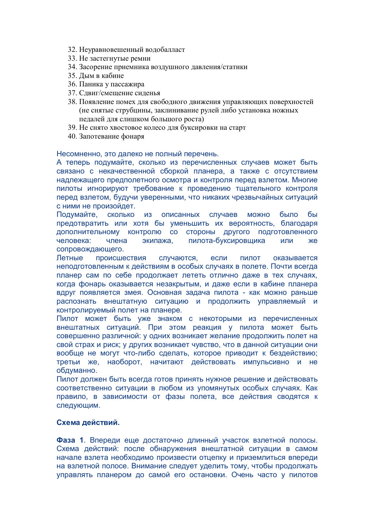- 32. Неуравновешенный водобалласт
- 33. Не застегнутые ремни
- 34. Засорение приемника воздушного давления/статики
- 35. Лым в кабине
- 36. Паника у пассажира
- 37. Сдвиг/смещение сиденья
- 38. Появление помех для свободного движения управляющих поверхностей (не снятые струбцины, заклинивание рулей либо установка ножных педалей для слишком большого роста)
- 39. Не снято хвостовое колесо для буксировки на старт
- 40. Запотевание фонаря

Несомненно, это далеко не полный перечень.

А теперь подумайте, сколько из перечисленных случаев может быть связано с некачественной сборкой планера, а также с отсутствием надлежащего предполетного осмотра и контроля перед взлетом. Многие пилоты игнорируют требование к проведению тщательного контроля перед взлетом, будучи уверенными, что никаких чрезвычайных ситуаций с ними не произойдет.

описанных случаев Подумайте, СКОЛЬКО И3 **МОЖНО** было бы предотвратить или хотя бы уменьшить их вероятность, благодаря дополнительному контролю со стороны другого подготовленного пилота-буксировщика экипажа, человека: члена ИЛИ же сопровождающего.

случаются, Летные происшествия если пилот оказывается неподготовленным к действиям в особых случаях в полете. Почти всегда планер сам по себе продолжает лететь отлично даже в тех случаях, когда фонарь оказывается незакрытым, и даже если в кабине планера вдруг появляется змея. Основная задача пилота - как можно раньше распознать внештатную ситуацию и продолжить управляемый и контролируемый полет на планере.

Пилот может быть уже знаком с некоторыми из перечисленных внештатных ситуаций. При этом реакция у пилота может быть совершенно различной: у одних возникает желание продолжить полет на свой страх и риск; у других возникает чувство, что в данной ситуации они вообще не могут что-либо сделать, которое приводит к бездействию; третьи же, наоборот, начитают действовать импульсивно и не обдуманно.

Пилот должен быть всегда готов принять нужное решение и действовать соответственно ситуации в любом из упомянутых особых случаях. Как правило, в зависимости от фазы полета, все действия сводятся к следующим.

## Схема действий.

Фаза 1. Впереди еще достаточно длинный участок взлетной полосы. Схема действий: после обнаружения внештатной ситуации в самом начале взлета необходимо произвести отцепку и приземлиться впереди на взлетной полосе. Внимание следует уделить тому, чтобы продолжать управлять планером до самой его остановки. Очень часто у пилотов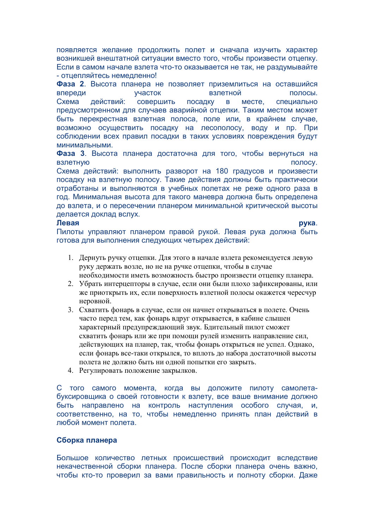появляется желание продолжить полет и сначала изучить характер возникшей внештатной ситуации вместо того, чтобы произвести отцепку. Если в самом начале взлета что-то оказывается не так, не раздумывайте - отцепляйтесь немедленно!

Фаза 2. Высота планера не позволяет приземлиться на оставшийся впереди участок взлетной полосы. Схема действий: СОВЕРШИТЬ посадку  $\overline{B}$ месте. специально предусмотренном для случаев аварийной отцепки. Таким местом может быть перекрестная взлетная полоса, поле или, в крайнем случае, возможно осуществить посадку на лесополосу, воду и пр. При соблюдении всех правил посадки в таких условиях повреждения будут минимальными.

Фаза 3. Высота планера достаточна для того, чтобы вернуться на взлетную полосу.

Схема действий: выполнить разворот на 180 градусов и произвести посадку на взлетную полосу. Такие действия должны быть практически отработаны и выполняются в учебных полетах не реже одного раза в год. Минимальная высота для такого маневра должна быть определена до взлета, и о пересечении планером минимальной критической высоты делается доклад вслух.

## Левая

рука.

Пилоты управляют планером правой рукой. Левая рука должна быть готова для выполнения следующих четырех действий:

- 1. Дернуть ручку отцепки. Для этого в начале взлета рекомендуется левую руку держать возле, но не на ручке отцепки, чтобы в случае необходимости иметь возможность быстро произвести отцепку планера.
- 2. Убрать интерцепторы в случае, если они были плохо зафиксированы, или же приоткрыть их, если поверхность взлетной полосы окажется чересчур неровной.
- 3. Схватить фонарь в случае, если он начнет открываться в полете. Очень часто перед тем, как фонарь вдруг открывается, в кабине слышен характерный предупреждающий звук. Бдительный пилот сможет схватить фонарь или же при помощи рулей изменить направление сил, действующих на планер, так, чтобы фонарь открыться не успел. Однако, если фонарь все-таки открылся, то вплоть до набора достаточной высоты полета не должно быть ни одной попытки его закрыть.
- 4. Регулировать положение закрылков.

С того самого момента, когда вы доложите пилоту самолетабуксировшика о своей готовности к взлету, все ваше внимание должно быть направлено на контроль наступления особого случая, И. соответственно, на то, чтобы немедленно принять план действий в любой момент полета.

## Сборка планера

Большое количество летных происшествий происходит вследствие некачественной сборки планера. После сборки планера очень важно, чтобы кто-то проверил за вами правильность и полноту сборки. Даже